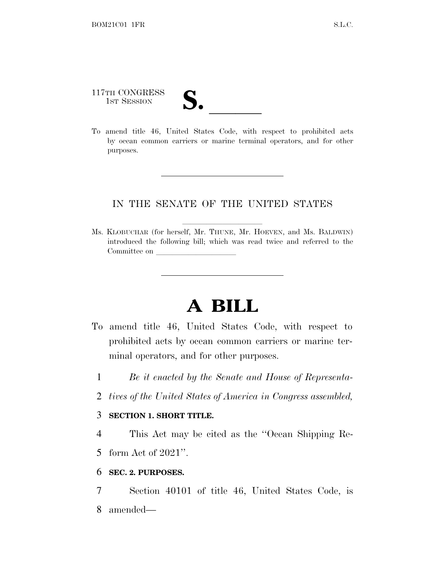117TH CONGRESS 117TH CONGRESS<br>
1ST SESSION<br>
To amend title 46, United States Code, with respect to prohibited acts

by ocean common carriers or marine terminal operators, and for other purposes.

# IN THE SENATE OF THE UNITED STATES

Ms. KLOBUCHAR (for herself, Mr. THUNE, Mr. HOEVEN, and Ms. BALDWIN) introduced the following bill; which was read twice and referred to the Committee on

# **A BILL**

- To amend title 46, United States Code, with respect to prohibited acts by ocean common carriers or marine terminal operators, and for other purposes.
	- 1 *Be it enacted by the Senate and House of Representa-*
	- 2 *tives of the United States of America in Congress assembled,*

#### 3 **SECTION 1. SHORT TITLE.**

4 This Act may be cited as the ''Ocean Shipping Re-

5 form Act of 2021''.

## 6 **SEC. 2. PURPOSES.**

7 Section 40101 of title 46, United States Code, is 8 amended—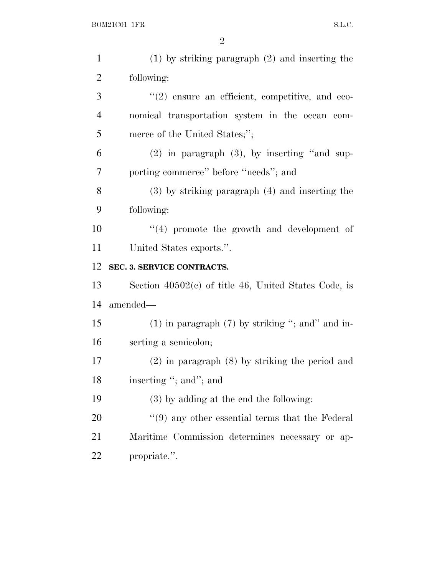| $\mathbf{1}$   | $(1)$ by striking paragraph $(2)$ and inserting the    |
|----------------|--------------------------------------------------------|
| $\overline{2}$ | following:                                             |
| 3              | $\lq(2)$ ensure an efficient, competitive, and eco-    |
| $\overline{4}$ | nomical transportation system in the ocean com-        |
| 5              | merce of the United States;";                          |
| 6              | $(2)$ in paragraph $(3)$ , by inserting "and sup-      |
| 7              | porting commerce" before "needs"; and                  |
| $8\,$          | $(3)$ by striking paragraph $(4)$ and inserting the    |
| 9              | following:                                             |
| 10             | $(4)$ promote the growth and development of            |
| 11             | United States exports.".                               |
|                |                                                        |
| 12             | SEC. 3. SERVICE CONTRACTS.                             |
| 13             | Section $40502(c)$ of title 46, United States Code, is |
| 14             | amended—                                               |
| 15             | $(1)$ in paragraph $(7)$ by striking "; and " and in-  |
| 16             | serting a semicolon;                                   |
| 17             | $(2)$ in paragraph $(8)$ by striking the period and    |
| 18             | inserting "; and"; and                                 |
| 19             | $(3)$ by adding at the end the following:              |
| 20             | $\lq(9)$ any other essential terms that the Federal    |
| 21             | Maritime Commission determines necessary or ap-        |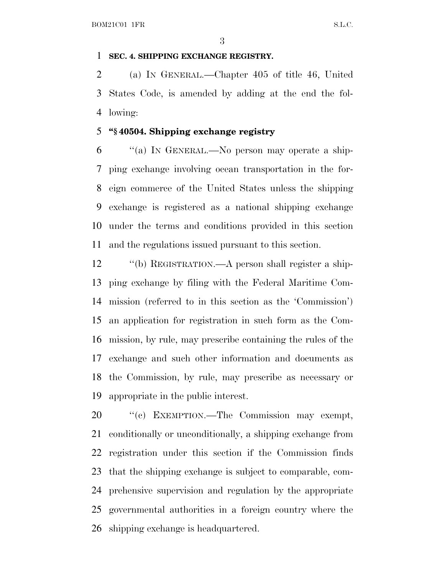#### **SEC. 4. SHIPPING EXCHANGE REGISTRY.**

 (a) I<sup>N</sup> GENERAL.—Chapter 405 of title 46, United States Code, is amended by adding at the end the fol-lowing:

# **''§ 40504. Shipping exchange registry**

 ''(a) I<sup>N</sup> GENERAL.—No person may operate a ship- ping exchange involving ocean transportation in the for- eign commerce of the United States unless the shipping exchange is registered as a national shipping exchange under the terms and conditions provided in this section and the regulations issued pursuant to this section.

 ''(b) REGISTRATION.—A person shall register a ship- ping exchange by filing with the Federal Maritime Com- mission (referred to in this section as the 'Commission') an application for registration in such form as the Com- mission, by rule, may prescribe containing the rules of the exchange and such other information and documents as the Commission, by rule, may prescribe as necessary or appropriate in the public interest.

20 "(c) EXEMPTION.—The Commission may exempt, conditionally or unconditionally, a shipping exchange from registration under this section if the Commission finds that the shipping exchange is subject to comparable, com- prehensive supervision and regulation by the appropriate governmental authorities in a foreign country where the shipping exchange is headquartered.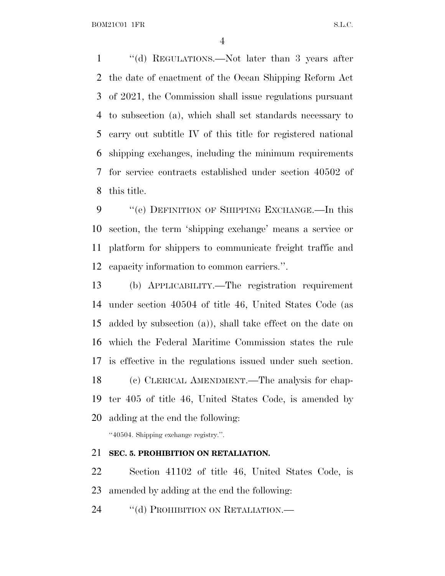BOM21C01 1FR S.L.C.

 ''(d) REGULATIONS.—Not later than 3 years after the date of enactment of the Ocean Shipping Reform Act of 2021, the Commission shall issue regulations pursuant to subsection (a), which shall set standards necessary to carry out subtitle IV of this title for registered national shipping exchanges, including the minimum requirements for service contracts established under section 40502 of this title.

9 "(e) DEFINITION OF SHIPPING EXCHANGE.—In this section, the term 'shipping exchange' means a service or platform for shippers to communicate freight traffic and capacity information to common carriers.''.

 (b) APPLICABILITY.—The registration requirement under section 40504 of title 46, United States Code (as added by subsection (a)), shall take effect on the date on which the Federal Maritime Commission states the rule is effective in the regulations issued under such section. (c) CLERICAL AMENDMENT.—The analysis for chap- ter 405 of title 46, United States Code, is amended by adding at the end the following:

''40504. Shipping exchange registry.''.

## **SEC. 5. PROHIBITION ON RETALIATION.**

 Section 41102 of title 46, United States Code, is amended by adding at the end the following:

24 "(d) PROHIBITION ON RETALIATION.—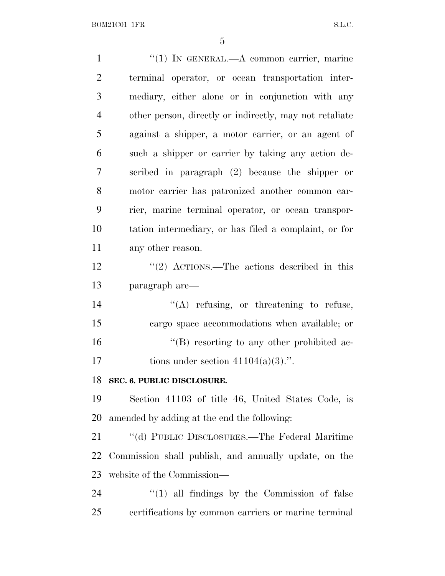1 "(1) IN GENERAL.—A common carrier, marine terminal operator, or ocean transportation inter- mediary, either alone or in conjunction with any other person, directly or indirectly, may not retaliate against a shipper, a motor carrier, or an agent of such a shipper or carrier by taking any action de- scribed in paragraph (2) because the shipper or motor carrier has patronized another common car- rier, marine terminal operator, or ocean transpor- tation intermediary, or has filed a complaint, or for any other reason. 12 ''(2) ACTIONS.—The actions described in this paragraph are—  $\text{``(A)}$  refusing, or threatening to refuse, cargo space accommodations when available; or  $\langle G \rangle$  resorting to any other prohibited ac-17 tions under section  $41104(a)(3)$ .". **SEC. 6. PUBLIC DISCLOSURE.** Section 41103 of title 46, United States Code, is amended by adding at the end the following: ''(d) PUBLIC DISCLOSURES.—The Federal Maritime Commission shall publish, and annually update, on the website of the Commission—  $(1)$  all findings by the Commission of false certifications by common carriers or marine terminal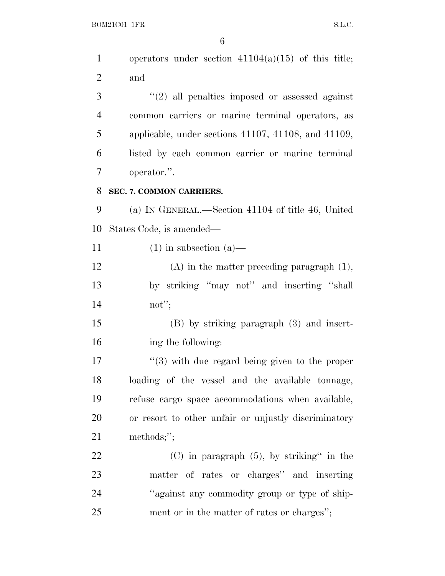$\begin{minipage}{.4\linewidth} \textbf{BOM21C01} \textbf{1FR} \end{minipage}$ 

| $\mathbf{1}$   | operators under section $41104(a)(15)$ of this title;      |
|----------------|------------------------------------------------------------|
| $\overline{2}$ | and                                                        |
| 3              | $"(2)$ all penalties imposed or assessed against           |
| 4              | common carriers or marine terminal operators, as           |
| 5              | applicable, under sections 41107, 41108, and 41109,        |
| 6              | listed by each common carrier or marine terminal           |
| 7              | operator.".                                                |
| 8              | SEC. 7. COMMON CARRIERS.                                   |
| 9              | (a) IN GENERAL.—Section 41104 of title 46, United          |
| 10             | States Code, is amended—                                   |
| 11             | $(1)$ in subsection $(a)$ —                                |
| 12             | $(A)$ in the matter preceding paragraph $(1)$ ,            |
| 13             | by striking "may not" and inserting "shall                 |
| 14             | not";                                                      |
| 15             | $(B)$ by striking paragraph $(3)$ and insert-              |
| 16             | ing the following:                                         |
| 17             | $\cdot\cdot$ (3) with due regard being given to the proper |
| 18             | loading of the vessel and the available tonnage,           |
| 19             | refuse cargo space accommodations when available,          |
| 20             | or resort to other unfair or unjustly discriminatory       |
| 21             | methods;";                                                 |
| 22             | $(C)$ in paragraph $(5)$ , by striking" in the             |
| 23             | matter of rates or charges" and inserting                  |
| 24             | "against any commodity group or type of ship-              |
| 25             | ment or in the matter of rates or charges";                |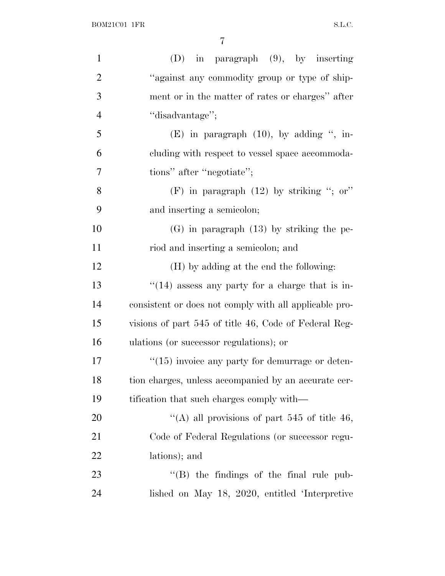| $\mathbf{1}$   | $(D)$ in paragraph $(9)$ , by inserting                |
|----------------|--------------------------------------------------------|
| $\overline{2}$ | "against any commodity group or type of ship-          |
| 3              | ment or in the matter of rates or charges" after       |
| $\overline{4}$ | "disadvantage";                                        |
| 5              | $(E)$ in paragraph $(10)$ , by adding ", in-           |
| 6              | cluding with respect to vessel space accommoda-        |
| $\overline{7}$ | tions" after "negotiate";                              |
| 8              | (F) in paragraph $(12)$ by striking "; or"             |
| 9              | and inserting a semicolon;                             |
| 10             | $(G)$ in paragraph $(13)$ by striking the pe-          |
| 11             | riod and inserting a semicolon; and                    |
| 12             | (H) by adding at the end the following:                |
| 13             | $``(14)$ assess any party for a charge that is in-     |
| 14             | consistent or does not comply with all applicable pro- |
| 15             | visions of part 545 of title 46, Code of Federal Reg-  |
| 16             | ulations (or successor regulations); or                |
| 17             | $\cdot$ (15) invoice any party for demurrage or deten- |
| 18             | tion charges, unless accompanied by an accurate cer-   |
| 19             | tification that such charges comply with—              |
| 20             | "(A) all provisions of part 545 of title 46,           |
| 21             | Code of Federal Regulations (or successor regu-        |
|                |                                                        |
| 22             | lations); and                                          |
| 23             | $\lq\lq$ (B) the findings of the final rule pub-       |
| 24             | lished on May 18, 2020, entitled 'Interpretive         |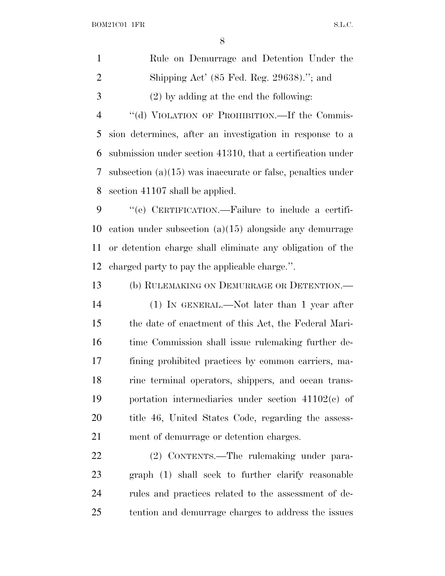|               | Rule on Demurrage and Detention Under the             |
|---------------|-------------------------------------------------------|
| -2            | Shipping Act' $(85 \text{ Fed. Reg. } 29638)$ ."; and |
| $\mathcal{R}$ | $(2)$ by adding at the end the following:             |

4 "(d) VIOLATION OF PROHIBITION.—If the Commis- sion determines, after an investigation in response to a submission under section 41310, that a certification under subsection (a)(15) was inaccurate or false, penalties under section 41107 shall be applied.

 ''(e) CERTIFICATION.—Failure to include a certifi- cation under subsection (a)(15) alongside any demurrage or detention charge shall eliminate any obligation of the charged party to pay the applicable charge.''.

 (b) RULEMAKING ON DEMURRAGE OR DETENTION.— (1) IN GENERAL.—Not later than 1 year after the date of enactment of this Act, the Federal Mari- time Commission shall issue rulemaking further de- fining prohibited practices by common carriers, ma- rine terminal operators, shippers, and ocean trans- portation intermediaries under section 41102(c) of title 46, United States Code, regarding the assess-ment of demurrage or detention charges.

 (2) CONTENTS.—The rulemaking under para- graph (1) shall seek to further clarify reasonable rules and practices related to the assessment of de-tention and demurrage charges to address the issues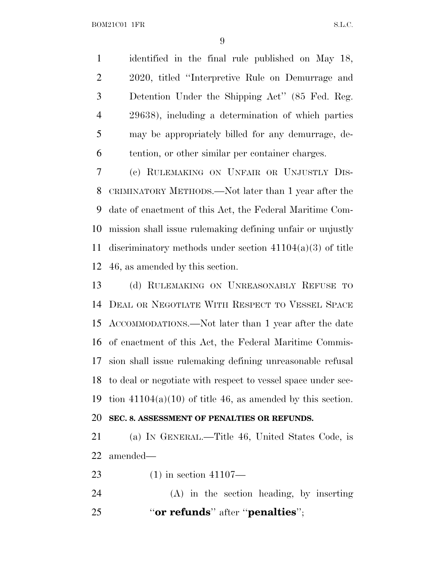identified in the final rule published on May 18, 2020, titled ''Interpretive Rule on Demurrage and Detention Under the Shipping Act'' (85 Fed. Reg. 29638), including a determination of which parties may be appropriately billed for any demurrage, de-tention, or other similar per container charges.

 (c) RULEMAKING ON UNFAIR OR UNJUSTLY DIS- CRIMINATORY METHODS.—Not later than 1 year after the date of enactment of this Act, the Federal Maritime Com- mission shall issue rulemaking defining unfair or unjustly discriminatory methods under section 41104(a)(3) of title 46, as amended by this section.

 (d) RULEMAKING ON UNREASONABLY REFUSE TO DEAL OR NEGOTIATE WITH RESPECT TO VESSEL SPACE ACCOMMODATIONS.—Not later than 1 year after the date of enactment of this Act, the Federal Maritime Commis- sion shall issue rulemaking defining unreasonable refusal to deal or negotiate with respect to vessel space under sec-19 tion  $41104(a)(10)$  of title 46, as amended by this section.

#### **SEC. 8. ASSESSMENT OF PENALTIES OR REFUNDS.**

 (a) I<sup>N</sup> GENERAL.—Title 46, United States Code, is amended—

(1) in section 41107—

 (A) in the section heading, by inserting ''**or refunds**'' after ''**penalties**'';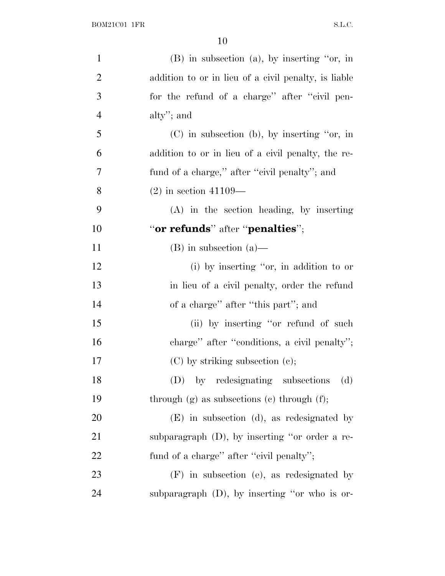| $\mathbf{1}$   | $(B)$ in subsection $(a)$ , by inserting "or, in     |
|----------------|------------------------------------------------------|
| $\overline{2}$ | addition to or in lieu of a civil penalty, is liable |
| 3              | for the refund of a charge" after "civil pen-        |
| $\overline{4}$ | alty"; and                                           |
| 5              | $(C)$ in subsection (b), by inserting "or, in        |
| 6              | addition to or in lieu of a civil penalty, the re-   |
| 7              | fund of a charge," after "civil penalty"; and        |
| 8              | $(2)$ in section 41109—                              |
| 9              | (A) in the section heading, by inserting             |
| 10             | "or refunds" after "penalties";                      |
| 11             | $(B)$ in subsection $(a)$ —                          |
| 12             | (i) by inserting "or, in addition to or              |
| 13             | in lieu of a civil penalty, order the refund         |
| 14             | of a charge" after "this part"; and                  |
| 15             | (ii) by inserting "or refund of such                 |
| 16             | charge" after "conditions, a civil penalty";         |
| 17             | $(C)$ by striking subsection $(e)$ ;                 |
| 18             | by redesignating subsections<br>(D)<br>(d)           |
| 19             | through $(g)$ as subsections $(e)$ through $(f)$ ;   |
| 20             | $(E)$ in subsection (d), as redesignated by          |
| 21             | subparagraph $(D)$ , by inserting "or order a re-    |
| 22             | fund of a charge" after "civil penalty";             |
| 23             | $(F)$ in subsection (e), as redesignated by          |
| 24             | subparagraph (D), by inserting "or who is or-        |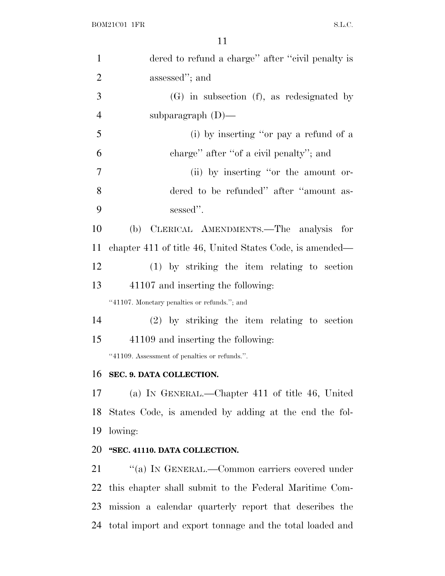| $\mathbf{1}$   | dered to refund a charge" after "civil penalty is        |
|----------------|----------------------------------------------------------|
| $\overline{2}$ | assessed"; and                                           |
| 3              | (G) in subsection (f), as redesignated by                |
| $\overline{4}$ | subparagraph $(D)$ —                                     |
| 5              | (i) by inserting "or pay a refund of a                   |
| 6              | charge" after "of a civil penalty"; and                  |
| $\overline{7}$ | (ii) by inserting "or the amount or-                     |
| 8              | dered to be refunded" after "amount as-                  |
| 9              | sessed".                                                 |
| 10             | CLERICAL AMENDMENTS.—The analysis<br>(b)<br>for          |
| 11             | chapter 411 of title 46, United States Code, is amended— |
| 12             | $(1)$ by striking the item relating to section           |
| 13             | 41107 and inserting the following:                       |
|                | "41107. Monetary penalties or refunds."; and             |
| 14             | $(2)$ by striking the item relating to section           |
| 15             | 41109 and inserting the following:                       |
|                | "41109. Assessment of penalties or refunds.".            |
| 16             | SEC. 9. DATA COLLECTION.                                 |
| 17             | (a) IN GENERAL.—Chapter 411 of title 46, United          |
| 18             | States Code, is amended by adding at the end the fol-    |
| 19             | lowing:                                                  |
| 20             | "SEC. 41110. DATA COLLECTION.                            |
| 21             | "(a) IN GENERAL.—Common carriers covered under           |
| 22             | this chapter shall submit to the Federal Maritime Com-   |
| 23             | mission a calendar quarterly report that describes the   |
| 24             | total import and export tonnage and the total loaded and |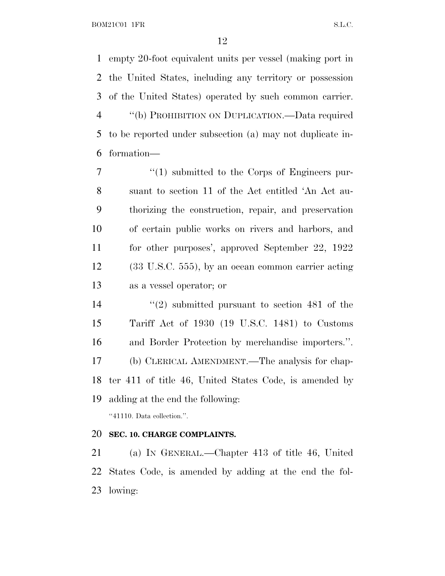empty 20-foot equivalent units per vessel (making port in the United States, including any territory or possession of the United States) operated by such common carrier. ''(b) PROHIBITION ON DUPLICATION.—Data required to be reported under subsection (a) may not duplicate in-formation—

 $\frac{1}{1}$  submitted to the Corps of Engineers pur- suant to section 11 of the Act entitled 'An Act au- thorizing the construction, repair, and preservation of certain public works on rivers and harbors, and for other purposes', approved September 22, 1922 (33 U.S.C. 555), by an ocean common carrier acting as a vessel operator; or

 ''(2) submitted pursuant to section 481 of the Tariff Act of 1930 (19 U.S.C. 1481) to Customs and Border Protection by merchandise importers.''. (b) CLERICAL AMENDMENT.—The analysis for chap- ter 411 of title 46, United States Code, is amended by adding at the end the following: ''41110. Data collection.''.

#### **SEC. 10. CHARGE COMPLAINTS.**

 (a) I<sup>N</sup> GENERAL.—Chapter 413 of title 46, United States Code, is amended by adding at the end the fol-lowing: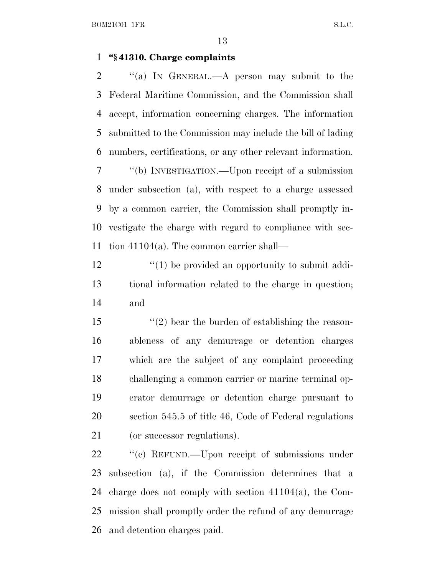### **''§ 41310. Charge complaints**

 ''(a) I<sup>N</sup> GENERAL.—A person may submit to the Federal Maritime Commission, and the Commission shall accept, information concerning charges. The information submitted to the Commission may include the bill of lading numbers, certifications, or any other relevant information.

 ''(b) INVESTIGATION.—Upon receipt of a submission under subsection (a), with respect to a charge assessed by a common carrier, the Commission shall promptly in- vestigate the charge with regard to compliance with sec-tion 41104(a). The common carrier shall—

12  $\frac{1}{2}$  (1) be provided an opportunity to submit addi- tional information related to the charge in question; and

 $\frac{1}{2}$  bear the burden of establishing the reason- ableness of any demurrage or detention charges which are the subject of any complaint proceeding challenging a common carrier or marine terminal op- erator demurrage or detention charge pursuant to section 545.5 of title 46, Code of Federal regulations 21 (or successor regulations).

22 " (c) REFUND.—Upon receipt of submissions under subsection (a), if the Commission determines that a charge does not comply with section 41104(a), the Com- mission shall promptly order the refund of any demurrage and detention charges paid.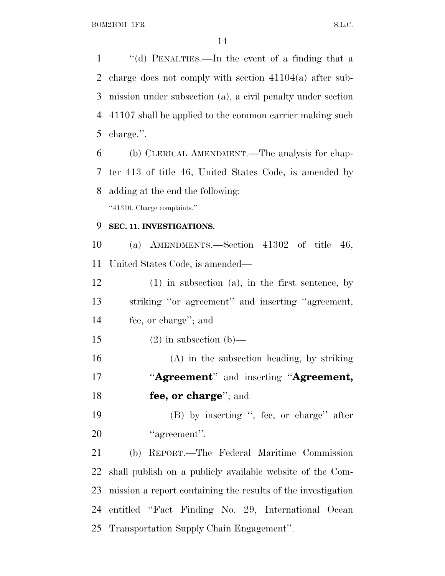''(d) PENALTIES.—In the event of a finding that a charge does not comply with section 41104(a) after sub- mission under subsection (a), a civil penalty under section 41107 shall be applied to the common carrier making such charge.''.

 (b) CLERICAL AMENDMENT.—The analysis for chap- ter 413 of title 46, United States Code, is amended by adding at the end the following:

''41310. Charge complaints.''.

## **SEC. 11. INVESTIGATIONS.**

 (a) AMENDMENTS.—Section 41302 of title 46, United States Code, is amended—

 (1) in subsection (a), in the first sentence, by striking ''or agreement'' and inserting ''agreement, fee, or charge''; and

15 (2) in subsection (b)—

 (A) in the subsection heading, by striking ''**Agreement**'' and inserting ''**Agreement, fee, or charge**''; and

 (B) by inserting '', fee, or charge'' after 20 "agreement".

 (b) REPORT.—The Federal Maritime Commission shall publish on a publicly available website of the Com- mission a report containing the results of the investigation entitled ''Fact Finding No. 29, International Ocean Transportation Supply Chain Engagement''.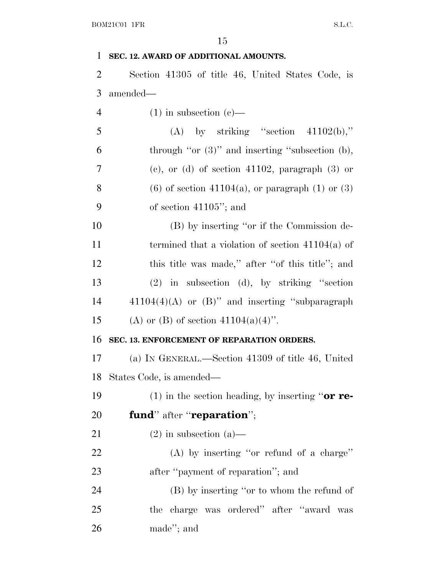#### **SEC. 12. AWARD OF ADDITIONAL AMOUNTS.**

 Section 41305 of title 46, United States Code, is amended—

4 (1) in subsection  $(c)$ —

| 5 | (A) by striking "section $41102(b)$ ,"                 |
|---|--------------------------------------------------------|
| 6 | through "or $(3)$ " and inserting "subsection $(b)$ ,  |
| 7 | (c), or (d) of section 41102, paragraph $(3)$ or       |
| 8 | $(6)$ of section 41104(a), or paragraph $(1)$ or $(3)$ |
| 9 | of section $41105$ "; and                              |
|   |                                                        |

 (B) by inserting ''or if the Commission de- termined that a violation of section 41104(a) of 12 this title was made," after "of this title"; and (2) in subsection (d), by striking ''section  $41104(4)(A)$  or  $(B)$ " and inserting "subparagraph" 15 (A) or (B) of section  $41104(a)(4)$ ".

#### **SEC. 13. ENFORCEMENT OF REPARATION ORDERS.**

 (a) I<sup>N</sup> GENERAL.—Section 41309 of title 46, United States Code, is amended—

(1) in the section heading, by inserting ''**or re-**

- **fund**'' after ''**reparation**'';
- 21 (2) in subsection (a)—
- (A) by inserting ''or refund of a charge'' 23 after "payment of reparation"; and

 (B) by inserting ''or to whom the refund of the charge was ordered'' after ''award was made''; and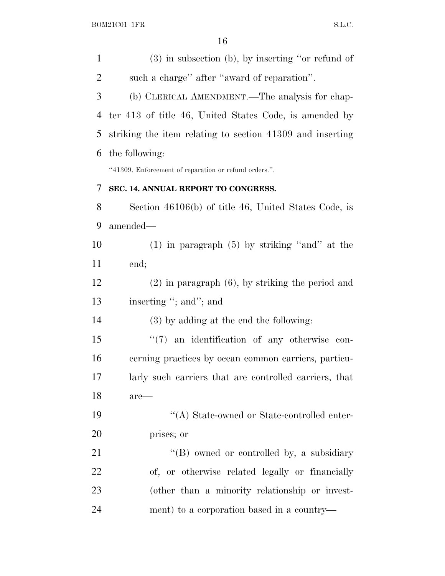| $\mathbf{1}$   | $(3)$ in subsection (b), by inserting "or refund of       |
|----------------|-----------------------------------------------------------|
| $\overline{2}$ | such a charge" after "award of reparation".               |
| 3              | (b) CLERICAL AMENDMENT.—The analysis for chap-            |
| 4              | ter 413 of title 46, United States Code, is amended by    |
| 5              | striking the item relating to section 41309 and inserting |
| 6              | the following:                                            |
|                | "41309. Enforcement of reparation or refund orders.".     |
| 7              | SEC. 14. ANNUAL REPORT TO CONGRESS.                       |
| 8              | Section 46106(b) of title 46, United States Code, is      |
| 9              | amended-                                                  |
| 10             | $(1)$ in paragraph $(5)$ by striking "and" at the         |
| 11             | end;                                                      |
| 12             | $(2)$ in paragraph $(6)$ , by striking the period and     |
| 13             | inserting "; and"; and                                    |
| 14             | (3) by adding at the end the following:                   |
| 15             | "(7) an identification of any otherwise con-              |
| 16             | cerning practices by ocean common carriers, particu-      |
| 17             | larly such carriers that are controlled carriers, that    |
| 18             | $are-$                                                    |
| 19             | "(A) State-owned or State-controlled enter-               |
| 20             | prises; or                                                |
| 21             | "(B) owned or controlled by, a subsidiary                 |
| 22             | of, or otherwise related legally or financially           |
| 23             | (other than a minority relationship or invest-            |
| 24             | ment) to a corporation based in a country—                |